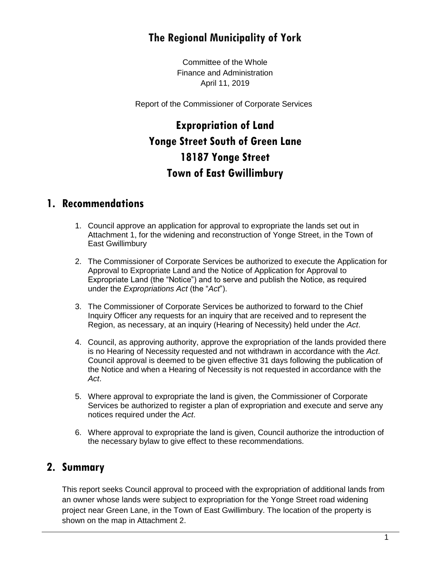## **The Regional Municipality of York**

Committee of the Whole Finance and Administration April 11, 2019

Report of the Commissioner of Corporate Services

# **Expropriation of Land Yonge Street South of Green Lane 18187 Yonge Street Town of East Gwillimbury**

### **1. Recommendations**

- 1. Council approve an application for approval to expropriate the lands set out in Attachment 1, for the widening and reconstruction of Yonge Street, in the Town of East Gwillimbury
- 2. The Commissioner of Corporate Services be authorized to execute the Application for Approval to Expropriate Land and the Notice of Application for Approval to Expropriate Land (the "Notice") and to serve and publish the Notice, as required under the *Expropriations Act* (the "*Act*").
- 3. The Commissioner of Corporate Services be authorized to forward to the Chief Inquiry Officer any requests for an inquiry that are received and to represent the Region, as necessary, at an inquiry (Hearing of Necessity) held under the *Act*.
- 4. Council, as approving authority, approve the expropriation of the lands provided there is no Hearing of Necessity requested and not withdrawn in accordance with the *Act*. Council approval is deemed to be given effective 31 days following the publication of the Notice and when a Hearing of Necessity is not requested in accordance with the *Act*.
- 5. Where approval to expropriate the land is given, the Commissioner of Corporate Services be authorized to register a plan of expropriation and execute and serve any notices required under the *Act*.
- 6. Where approval to expropriate the land is given, Council authorize the introduction of the necessary bylaw to give effect to these recommendations.

### **2. Summary**

This report seeks Council approval to proceed with the expropriation of additional lands from an owner whose lands were subject to expropriation for the Yonge Street road widening project near Green Lane, in the Town of East Gwillimbury. The location of the property is shown on the map in Attachment 2.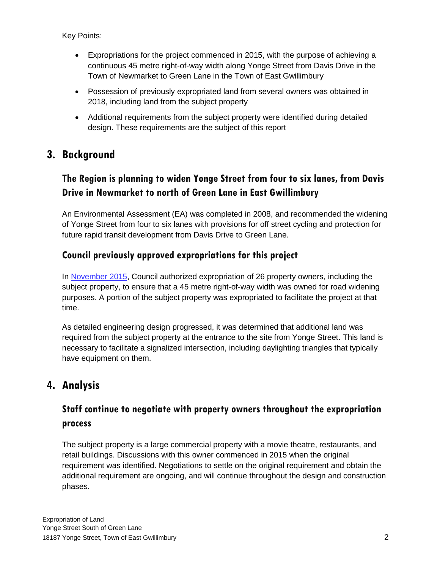Key Points:

- Expropriations for the project commenced in 2015, with the purpose of achieving a continuous 45 metre right-of-way width along Yonge Street from Davis Drive in the Town of Newmarket to Green Lane in the Town of East Gwillimbury
- Possession of previously expropriated land from several owners was obtained in 2018, including land from the subject property
- Additional requirements from the subject property were identified during detailed design. These requirements are the subject of this report

## **3. Background**

### **The Region is planning to widen Yonge Street from four to six lanes, from Davis Drive in Newmarket to north of Green Lane in East Gwillimbury**

An Environmental Assessment (EA) was completed in 2008, and recommended the widening of Yonge Street from four to six lanes with provisions for off street cycling and protection for future rapid transit development from Davis Drive to Green Lane.

### **Council previously approved expropriations for this project**

In [November 2015,](http://www.york.ca/wps/wcm/connect/yorkpublic/620b952f-e9fc-4a15-bab4-71580553b7f8/nov+12+appl+yonge+ex.pdf?MOD=AJPERES) Council authorized expropriation of 26 property owners, including the subject property, to ensure that a 45 metre right-of-way width was owned for road widening purposes. A portion of the subject property was expropriated to facilitate the project at that time.

As detailed engineering design progressed, it was determined that additional land was required from the subject property at the entrance to the site from Yonge Street. This land is necessary to facilitate a signalized intersection, including daylighting triangles that typically have equipment on them.

### **4. Analysis**

### **Staff continue to negotiate with property owners throughout the expropriation process**

The subject property is a large commercial property with a movie theatre, restaurants, and retail buildings. Discussions with this owner commenced in 2015 when the original requirement was identified. Negotiations to settle on the original requirement and obtain the additional requirement are ongoing, and will continue throughout the design and construction phases.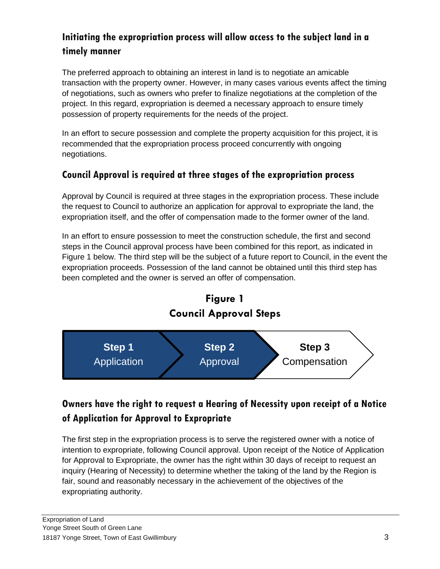### **Initiating the expropriation process will allow access to the subject land in a timely manner**

The preferred approach to obtaining an interest in land is to negotiate an amicable transaction with the property owner. However, in many cases various events affect the timing of negotiations, such as owners who prefer to finalize negotiations at the completion of the project. In this regard, expropriation is deemed a necessary approach to ensure timely possession of property requirements for the needs of the project.

In an effort to secure possession and complete the property acquisition for this project, it is recommended that the expropriation process proceed concurrently with ongoing negotiations.

### **Council Approval is required at three stages of the expropriation process**

Approval by Council is required at three stages in the expropriation process. These include the request to Council to authorize an application for approval to expropriate the land, the expropriation itself, and the offer of compensation made to the former owner of the land.

In an effort to ensure possession to meet the construction schedule, the first and second steps in the Council approval process have been combined for this report, as indicated in Figure 1 below. The third step will be the subject of a future report to Council, in the event the expropriation proceeds. Possession of the land cannot be obtained until this third step has been completed and the owner is served an offer of compensation.



### **Owners have the right to request a Hearing of Necessity upon receipt of a Notice of Application for Approval to Expropriate**

The first step in the expropriation process is to serve the registered owner with a notice of intention to expropriate, following Council approval. Upon receipt of the Notice of Application for Approval to Expropriate, the owner has the right within 30 days of receipt to request an inquiry (Hearing of Necessity) to determine whether the taking of the land by the Region is fair, sound and reasonably necessary in the achievement of the objectives of the expropriating authority.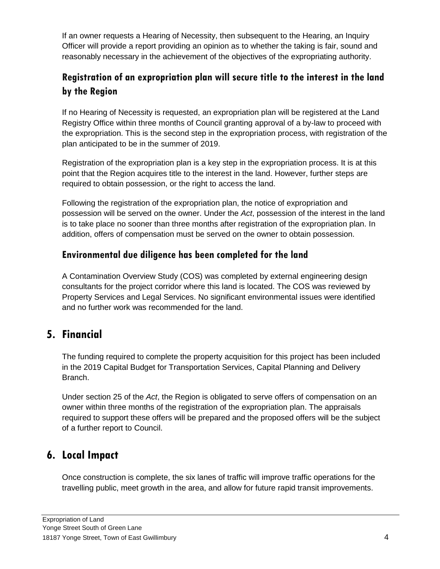If an owner requests a Hearing of Necessity, then subsequent to the Hearing, an Inquiry Officer will provide a report providing an opinion as to whether the taking is fair, sound and reasonably necessary in the achievement of the objectives of the expropriating authority.

### **Registration of an expropriation plan will secure title to the interest in the land by the Region**

If no Hearing of Necessity is requested, an expropriation plan will be registered at the Land Registry Office within three months of Council granting approval of a by-law to proceed with the expropriation. This is the second step in the expropriation process, with registration of the plan anticipated to be in the summer of 2019.

Registration of the expropriation plan is a key step in the expropriation process. It is at this point that the Region acquires title to the interest in the land. However, further steps are required to obtain possession, or the right to access the land.

Following the registration of the expropriation plan, the notice of expropriation and possession will be served on the owner. Under the *Act*, possession of the interest in the land is to take place no sooner than three months after registration of the expropriation plan. In addition, offers of compensation must be served on the owner to obtain possession.

#### **Environmental due diligence has been completed for the land**

A Contamination Overview Study (COS) was completed by external engineering design consultants for the project corridor where this land is located. The COS was reviewed by Property Services and Legal Services. No significant environmental issues were identified and no further work was recommended for the land.

## **5. Financial**

The funding required to complete the property acquisition for this project has been included in the 2019 Capital Budget for Transportation Services, Capital Planning and Delivery Branch.

Under section 25 of the *Act*, the Region is obligated to serve offers of compensation on an owner within three months of the registration of the expropriation plan. The appraisals required to support these offers will be prepared and the proposed offers will be the subject of a further report to Council.

## **6. Local Impact**

Once construction is complete, the six lanes of traffic will improve traffic operations for the travelling public, meet growth in the area, and allow for future rapid transit improvements.